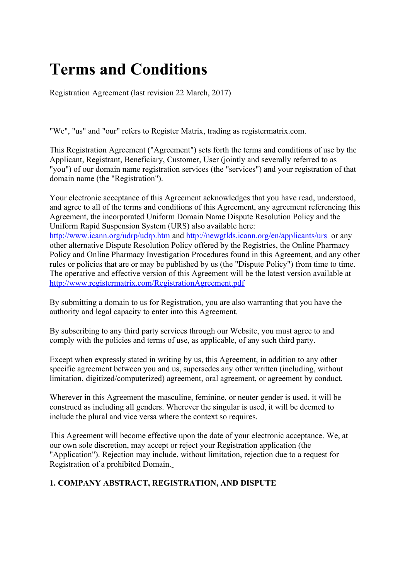# **Terms and Conditions**

Registration Agreement (last revision 22 March, 2017)

"We", "us" and "our" refers to Register Matrix, trading as registermatrix.com.

This Registration Agreement ("Agreement") sets forth the terms and conditions of use by the Applicant, Registrant, Beneficiary, Customer, User (jointly and severally referred to as "you") of our domain name registration services (the "services") and your registration of that domain name (the "Registration").

Your electronic acceptance of this Agreement acknowledges that you have read, understood, and agree to all of the terms and conditions of this Agreement, any agreement referencing this Agreement, the incorporated Uniform Domain Name Dispute Resolution Policy and the Uniform Rapid Suspension System (URS) also available here: <http://www.icann.org/udrp/udrp.htm> and<http://newgtlds.icann.org/en/applicants/urs> or any other alternative Dispute Resolution Policy offered by the Registries, the Online Pharmacy Policy and Online Pharmacy Investigation Procedures found in this Agreement, and any other rules or policies that are or may be published by us (the "Dispute Policy") from time to time.

The operative and effective version of this Agreement will be the latest version available at <http://www.registermatrix.com/RegistrationAgreement.pdf>

By submitting a domain to us for Registration, you are also warranting that you have the authority and legal capacity to enter into this Agreement.

By subscribing to any third party services through our Website, you must agree to and comply with the policies and terms of use, as applicable, of any such third party.

Except when expressly stated in writing by us, this Agreement, in addition to any other specific agreement between you and us, supersedes any other written (including, without limitation, digitized/computerized) agreement, oral agreement, or agreement by conduct.

Wherever in this Agreement the masculine, feminine, or neuter gender is used, it will be construed as including all genders. Wherever the singular is used, it will be deemed to include the plural and vice versa where the context so requires.

This Agreement will become effective upon the date of your electronic acceptance. We, at our own sole discretion, may accept or reject your Registration application (the "Application"). Rejection may include, without limitation, rejection due to a request for Registration of a prohibited Domain.

# **1. COMPANY ABSTRACT, REGISTRATION, AND DISPUTE**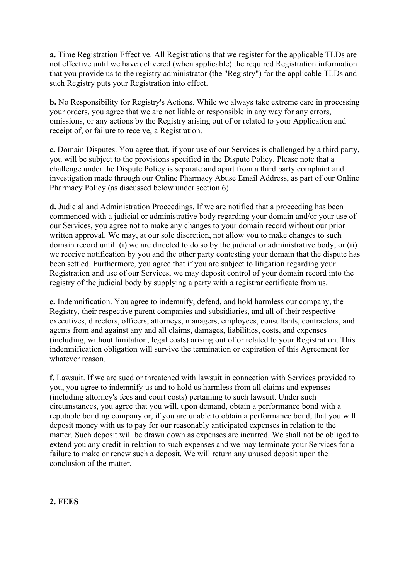**a.** Time Registration Effective. All Registrations that we register for the applicable TLDs are not effective until we have delivered (when applicable) the required Registration information that you provide us to the registry administrator (the "Registry") for the applicable TLDs and such Registry puts your Registration into effect.

**b.** No Responsibility for Registry's Actions. While we always take extreme care in processing your orders, you agree that we are not liable or responsible in any way for any errors, omissions, or any actions by the Registry arising out of or related to your Application and receipt of, or failure to receive, a Registration.

**c.** Domain Disputes. You agree that, if your use of our Services is challenged by a third party, you will be subject to the provisions specified in the Dispute Policy. Please note that a challenge under the Dispute Policy is separate and apart from a third party complaint and investigation made through our Online Pharmacy Abuse Email Address, as part of our Online Pharmacy Policy (as discussed below under section 6).

**d.** Judicial and Administration Proceedings. If we are notified that a proceeding has been commenced with a judicial or administrative body regarding your domain and/or your use of our Services, you agree not to make any changes to your domain record without our prior written approval. We may, at our sole discretion, not allow you to make changes to such domain record until: (i) we are directed to do so by the judicial or administrative body; or (ii) we receive notification by you and the other party contesting your domain that the dispute has been settled. Furthermore, you agree that if you are subject to litigation regarding your Registration and use of our Services, we may deposit control of your domain record into the registry of the judicial body by supplying a party with a registrar certificate from us.

**e.** Indemnification. You agree to indemnify, defend, and hold harmless our company, the Registry, their respective parent companies and subsidiaries, and all of their respective executives, directors, officers, attorneys, managers, employees, consultants, contractors, and agents from and against any and all claims, damages, liabilities, costs, and expenses (including, without limitation, legal costs) arising out of or related to your Registration. This indemnification obligation will survive the termination or expiration of this Agreement for whatever reason.

**f.** Lawsuit. If we are sued or threatened with lawsuit in connection with Services provided to you, you agree to indemnify us and to hold us harmless from all claims and expenses (including attorney's fees and court costs) pertaining to such lawsuit. Under such circumstances, you agree that you will, upon demand, obtain a performance bond with a reputable bonding company or, if you are unable to obtain a performance bond, that you will deposit money with us to pay for our reasonably anticipated expenses in relation to the matter. Such deposit will be drawn down as expenses are incurred. We shall not be obliged to extend you any credit in relation to such expenses and we may terminate your Services for a failure to make or renew such a deposit. We will return any unused deposit upon the conclusion of the matter.

#### **2. FEES**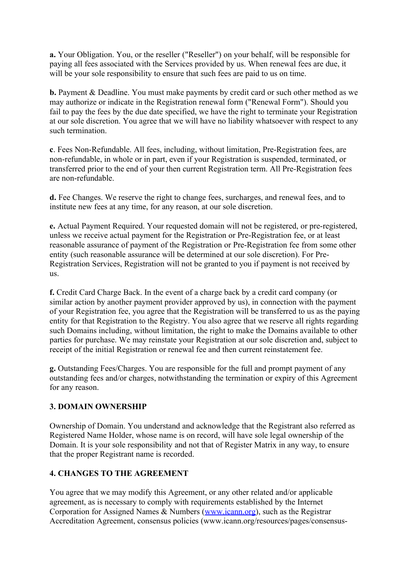**a.** Your Obligation. You, or the reseller ("Reseller") on your behalf, will be responsible for paying all fees associated with the Services provided by us. When renewal fees are due, it will be your sole responsibility to ensure that such fees are paid to us on time.

**b.** Payment & Deadline. You must make payments by credit card or such other method as we may authorize or indicate in the Registration renewal form ("Renewal Form"). Should you fail to pay the fees by the due date specified, we have the right to terminate your Registration at our sole discretion. You agree that we will have no liability whatsoever with respect to any such termination.

**c**. Fees Non-Refundable. All fees, including, without limitation, Pre-Registration fees, are non-refundable, in whole or in part, even if your Registration is suspended, terminated, or transferred prior to the end of your then current Registration term. All Pre-Registration fees are non-refundable.

**d.** Fee Changes. We reserve the right to change fees, surcharges, and renewal fees, and to institute new fees at any time, for any reason, at our sole discretion.

**e.** Actual Payment Required. Your requested domain will not be registered, or pre-registered, unless we receive actual payment for the Registration or Pre-Registration fee, or at least reasonable assurance of payment of the Registration or Pre-Registration fee from some other entity (such reasonable assurance will be determined at our sole discretion). For Pre-Registration Services, Registration will not be granted to you if payment is not received by us.

**f.** Credit Card Charge Back. In the event of a charge back by a credit card company (or similar action by another payment provider approved by us), in connection with the payment of your Registration fee, you agree that the Registration will be transferred to us as the paying entity for that Registration to the Registry. You also agree that we reserve all rights regarding such Domains including, without limitation, the right to make the Domains available to other parties for purchase. We may reinstate your Registration at our sole discretion and, subject to receipt of the initial Registration or renewal fee and then current reinstatement fee.

**g.** Outstanding Fees/Charges. You are responsible for the full and prompt payment of any outstanding fees and/or charges, notwithstanding the termination or expiry of this Agreement for any reason.

#### **3. DOMAIN OWNERSHIP**

Ownership of Domain. You understand and acknowledge that the Registrant also referred as Registered Name Holder, whose name is on record, will have sole legal ownership of the Domain. It is your sole responsibility and not that of Register Matrix in any way, to ensure that the proper Registrant name is recorded.

#### **4. CHANGES TO THE AGREEMENT**

You agree that we may modify this Agreement, or any other related and/or applicable agreement, as is necessary to comply with requirements established by the Internet Corporation for Assigned Names & Numbers [\(www.icann.org](http://www.icann.org/)), such as the Registrar Accreditation Agreement, consensus policies (www.icann.org/resources/pages/consensus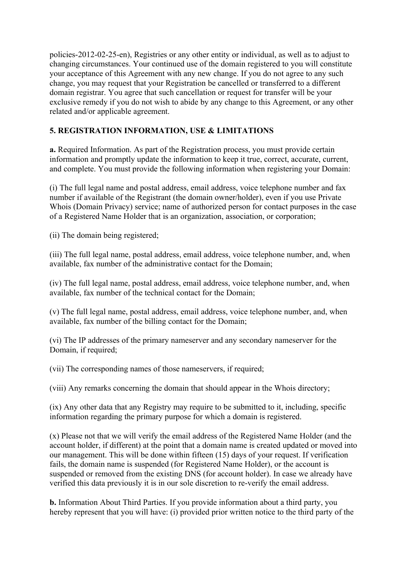policies-2012-02-25-en), Registries or any other entity or individual, as well as to adjust to changing circumstances. Your continued use of the domain registered to you will constitute your acceptance of this Agreement with any new change. If you do not agree to any such change, you may request that your Registration be cancelled or transferred to a different domain registrar. You agree that such cancellation or request for transfer will be your exclusive remedy if you do not wish to abide by any change to this Agreement, or any other related and/or applicable agreement.

# **5. REGISTRATION INFORMATION, USE & LIMITATIONS**

**a.** Required Information. As part of the Registration process, you must provide certain information and promptly update the information to keep it true, correct, accurate, current, and complete. You must provide the following information when registering your Domain:

(i) The full legal name and postal address, email address, voice telephone number and fax number if available of the Registrant (the domain owner/holder), even if you use Private Whois (Domain Privacy) service; name of authorized person for contact purposes in the case of a Registered Name Holder that is an organization, association, or corporation;

(ii) The domain being registered;

(iii) The full legal name, postal address, email address, voice telephone number, and, when available, fax number of the administrative contact for the Domain;

(iv) The full legal name, postal address, email address, voice telephone number, and, when available, fax number of the technical contact for the Domain;

(v) The full legal name, postal address, email address, voice telephone number, and, when available, fax number of the billing contact for the Domain;

(vi) The IP addresses of the primary nameserver and any secondary nameserver for the Domain, if required;

(vii) The corresponding names of those nameservers, if required;

(viii) Any remarks concerning the domain that should appear in the Whois directory;

(ix) Any other data that any Registry may require to be submitted to it, including, specific information regarding the primary purpose for which a domain is registered.

(x) Please not that we will verify the email address of the Registered Name Holder (and the account holder, if different) at the point that a domain name is created updated or moved into our management. This will be done within fifteen (15) days of your request. If verification fails, the domain name is suspended (for Registered Name Holder), or the account is suspended or removed from the existing DNS (for account holder). In case we already have verified this data previously it is in our sole discretion to re-verify the email address.

**b.** Information About Third Parties. If you provide information about a third party, you hereby represent that you will have: (i) provided prior written notice to the third party of the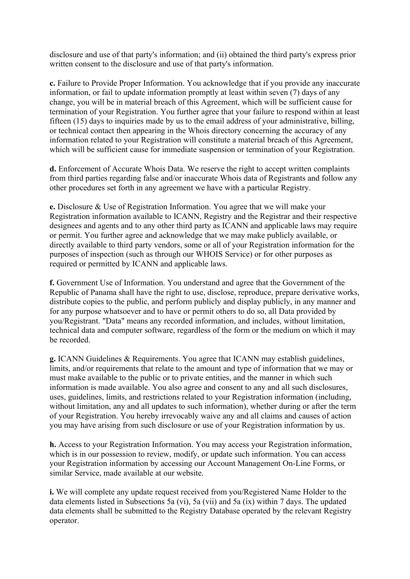disclosure and use of that party's information; and (ii) obtained the third party's express prior written consent to the disclosure and use of that party's information.

**c.** Failure to Provide Proper Information. You acknowledge that if you provide any inaccurate information, or fail to update information promptly at least within seven (7) days of any change, you will be in material breach of this Agreement, which will be sufficient cause for termination of your Registration. You further agree that your failure to respond within at least fifteen (15) days to inquiries made by us to the email address of your administrative, billing, or technical contact then appearing in the Whois directory concerning the accuracy of any information related to your Registration will constitute a material breach of this Agreement, which will be sufficient cause for immediate suspension or termination of your Registration.

**d.** Enforcement of Accurate Whois Data. We reserve the right to accept written complaints from third parties regarding false and/or inaccurate Whois data of Registrants and follow any other procedures set forth in any agreement we have with a particular Registry.

**e.** Disclosure & Use of Registration Information. You agree that we will make your Registration information available to ICANN, Registry and the Registrar and their respective designees and agents and to any other third party as ICANN and applicable laws may require or permit. You further agree and acknowledge that we may make publicly available, or directly available to third party vendors, some or all of your Registration information for the purposes of inspection (such as through our WHOIS Service) or for other purposes as required or permitted by ICANN and applicable laws.

**f.** Government Use of Information. You understand and agree that the Government of the Republic of Panama shall have the right to use, disclose, reproduce, prepare derivative works, distribute copies to the public, and perform publicly and display publicly, in any manner and for any purpose whatsoever and to have or permit others to do so, all Data provided by you/Registrant. "Data" means any recorded information, and includes, without limitation, technical data and computer software, regardless of the form or the medium on which it may be recorded.

**g.** ICANN Guidelines & Requirements. You agree that ICANN may establish guidelines, limits, and/or requirements that relate to the amount and type of information that we may or must make available to the public or to private entities, and the manner in which such information is made available. You also agree and consent to any and all such disclosures, uses, guidelines, limits, and restrictions related to your Registration information (including, without limitation, any and all updates to such information), whether during or after the term of your Registration. You hereby irrevocably waive any and all claims and causes of action you may have arising from such disclosure or use of your Registration information by us.

**h.** Access to your Registration Information. You may access your Registration information, which is in our possession to review, modify, or update such information. You can access your Registration information by accessing our Account Management On-Line Forms, or similar Service, made available at our website.

**i.** We will complete any update request received from you/Registered Name Holder to the data elements listed in Subsections 5a (vi), 5a (vii) and 5a (ix) within 7 days. The updated data elements shall be submitted to the Registry Database operated by the relevant Registry operator.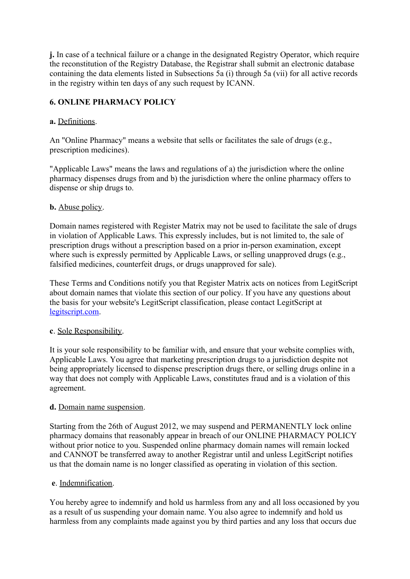**j.** In case of a technical failure or a change in the designated Registry Operator, which require the reconstitution of the Registry Database, the Registrar shall submit an electronic database containing the data elements listed in Subsections 5a (i) through 5a (vii) for all active records in the registry within ten days of any such request by ICANN.

# **6. ONLINE PHARMACY POLICY**

#### **a.** Definitions.

An "Online Pharmacy" means a website that sells or facilitates the sale of drugs (e.g., prescription medicines).

"Applicable Laws" means the laws and regulations of a) the jurisdiction where the online pharmacy dispenses drugs from and b) the jurisdiction where the online pharmacy offers to dispense or ship drugs to.

#### **b.** Abuse policy.

Domain names registered with Register Matrix may not be used to facilitate the sale of drugs in violation of Applicable Laws. This expressly includes, but is not limited to, the sale of prescription drugs without a prescription based on a prior in-person examination, except where such is expressly permitted by Applicable Laws, or selling unapproved drugs (e.g., falsified medicines, counterfeit drugs, or drugs unapproved for sale).

These Terms and Conditions notify you that Register Matrix acts on notices from LegitScript about domain names that violate this section of our policy. If you have any questions about the basis for your website's LegitScript classification, please contact LegitScript at [legitscript.com.](http://legitscript.com/)

#### **c**. Sole Responsibility.

It is your sole responsibility to be familiar with, and ensure that your website complies with, Applicable Laws. You agree that marketing prescription drugs to a jurisdiction despite not being appropriately licensed to dispense prescription drugs there, or selling drugs online in a way that does not comply with Applicable Laws, constitutes fraud and is a violation of this agreement.

#### **d.** Domain name suspension.

Starting from the 26th of August 2012, we may suspend and PERMANENTLY lock online pharmacy domains that reasonably appear in breach of our ONLINE PHARMACY POLICY without prior notice to you. Suspended online pharmacy domain names will remain locked and CANNOT be transferred away to another Registrar until and unless LegitScript notifies us that the domain name is no longer classified as operating in violation of this section.

#### **e**. Indemnification.

You hereby agree to indemnify and hold us harmless from any and all loss occasioned by you as a result of us suspending your domain name. You also agree to indemnify and hold us harmless from any complaints made against you by third parties and any loss that occurs due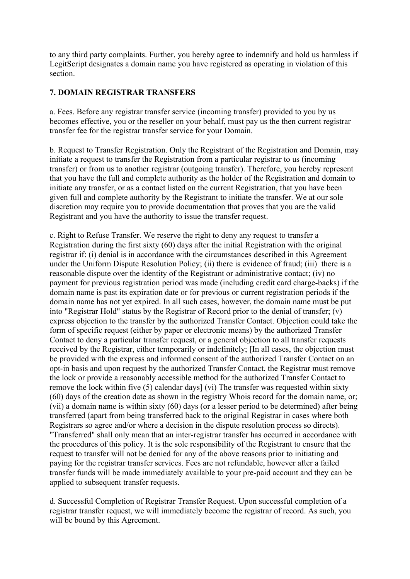to any third party complaints. Further, you hereby agree to indemnify and hold us harmless if LegitScript designates a domain name you have registered as operating in violation of this section.

#### **7. DOMAIN REGISTRAR TRANSFERS**

a. Fees. Before any registrar transfer service (incoming transfer) provided to you by us becomes effective, you or the reseller on your behalf, must pay us the then current registrar transfer fee for the registrar transfer service for your Domain.

b. Request to Transfer Registration. Only the Registrant of the Registration and Domain, may initiate a request to transfer the Registration from a particular registrar to us (incoming transfer) or from us to another registrar (outgoing transfer). Therefore, you hereby represent that you have the full and complete authority as the holder of the Registration and domain to initiate any transfer, or as a contact listed on the current Registration, that you have been given full and complete authority by the Registrant to initiate the transfer. We at our sole discretion may require you to provide documentation that proves that you are the valid Registrant and you have the authority to issue the transfer request.

c. Right to Refuse Transfer. We reserve the right to deny any request to transfer a Registration during the first sixty (60) days after the initial Registration with the original registrar if: (i) denial is in accordance with the circumstances described in this Agreement under the Uniform Dispute Resolution Policy; (ii) there is evidence of fraud; (iii) there is a reasonable dispute over the identity of the Registrant or administrative contact; (iv) no payment for previous registration period was made (including credit card charge-backs) if the domain name is past its expiration date or for previous or current registration periods if the domain name has not yet expired. In all such cases, however, the domain name must be put into "Registrar Hold" status by the Registrar of Record prior to the denial of transfer; (v) express objection to the transfer by the authorized Transfer Contact. Objection could take the form of specific request (either by paper or electronic means) by the authorized Transfer Contact to deny a particular transfer request, or a general objection to all transfer requests received by the Registrar, either temporarily or indefinitely; [In all cases, the objection must be provided with the express and informed consent of the authorized Transfer Contact on an opt-in basis and upon request by the authorized Transfer Contact, the Registrar must remove the lock or provide a reasonably accessible method for the authorized Transfer Contact to remove the lock within five (5) calendar days] (vi) The transfer was requested within sixty (60) days of the creation date as shown in the registry Whois record for the domain name, or; (vii) a domain name is within sixty (60) days (or a lesser period to be determined) after being transferred (apart from being transferred back to the original Registrar in cases where both Registrars so agree and/or where a decision in the dispute resolution process so directs). "Transferred" shall only mean that an inter-registrar transfer has occurred in accordance with the procedures of this policy. It is the sole responsibility of the Registrant to ensure that the request to transfer will not be denied for any of the above reasons prior to initiating and paying for the registrar transfer services. Fees are not refundable, however after a failed transfer funds will be made immediately available to your pre-paid account and they can be applied to subsequent transfer requests.

d. Successful Completion of Registrar Transfer Request. Upon successful completion of a registrar transfer request, we will immediately become the registrar of record. As such, you will be bound by this Agreement.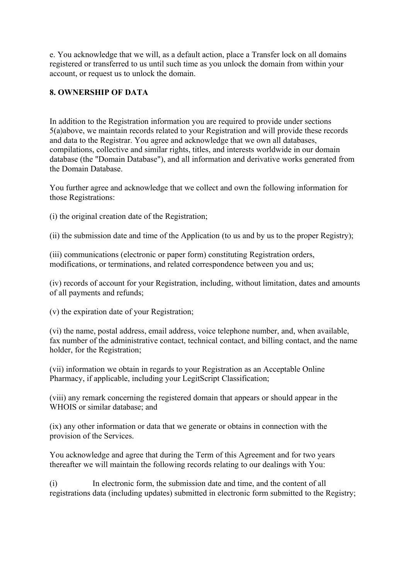e. You acknowledge that we will, as a default action, place a Transfer lock on all domains registered or transferred to us until such time as you unlock the domain from within your account, or request us to unlock the domain.

# **8. OWNERSHIP OF DATA**

In addition to the Registration information you are required to provide under sections 5(a)above, we maintain records related to your Registration and will provide these records and data to the Registrar. You agree and acknowledge that we own all databases, compilations, collective and similar rights, titles, and interests worldwide in our domain database (the "Domain Database"), and all information and derivative works generated from the Domain Database.

You further agree and acknowledge that we collect and own the following information for those Registrations:

(i) the original creation date of the Registration;

(ii) the submission date and time of the Application (to us and by us to the proper Registry);

(iii) communications (electronic or paper form) constituting Registration orders, modifications, or terminations, and related correspondence between you and us;

(iv) records of account for your Registration, including, without limitation, dates and amounts of all payments and refunds;

(v) the expiration date of your Registration;

(vi) the name, postal address, email address, voice telephone number, and, when available, fax number of the administrative contact, technical contact, and billing contact, and the name holder, for the Registration;

(vii) information we obtain in regards to your Registration as an Acceptable Online Pharmacy, if applicable, including your LegitScript Classification;

(viii) any remark concerning the registered domain that appears or should appear in the WHOIS or similar database; and

(ix) any other information or data that we generate or obtains in connection with the provision of the Services.

You acknowledge and agree that during the Term of this Agreement and for two years thereafter we will maintain the following records relating to our dealings with You:

(i) In electronic form, the submission date and time, and the content of all registrations data (including updates) submitted in electronic form submitted to the Registry;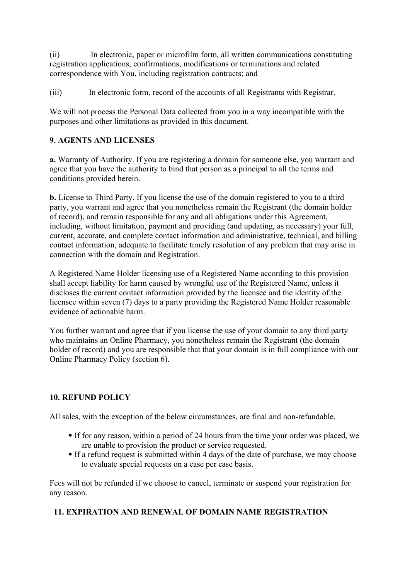(ii) In electronic, paper or microfilm form, all written communications constituting registration applications, confirmations, modifications or terminations and related correspondence with You, including registration contracts; and

(iii) In electronic form, record of the accounts of all Registrants with Registrar.

We will not process the Personal Data collected from you in a way incompatible with the purposes and other limitations as provided in this document.

# **9. AGENTS AND LICENSES**

**a.** Warranty of Authority. If you are registering a domain for someone else, you warrant and agree that you have the authority to bind that person as a principal to all the terms and conditions provided herein.

**b.** License to Third Party. If you license the use of the domain registered to you to a third party, you warrant and agree that you nonetheless remain the Registrant (the domain holder of record), and remain responsible for any and all obligations under this Agreement, including, without limitation, payment and providing (and updating, as necessary) your full, current, accurate, and complete contact information and administrative, technical, and billing contact information, adequate to facilitate timely resolution of any problem that may arise in connection with the domain and Registration.

A Registered Name Holder licensing use of a Registered Name according to this provision shall accept liability for harm caused by wrongful use of the Registered Name, unless it discloses the current contact information provided by the licensee and the identity of the licensee within seven (7) days to a party providing the Registered Name Holder reasonable evidence of actionable harm.

You further warrant and agree that if you license the use of your domain to any third party who maintains an Online Pharmacy, you nonetheless remain the Registrant (the domain holder of record) and you are responsible that that your domain is in full compliance with our Online Pharmacy Policy (section 6).

# **10. REFUND POLICY**

All sales, with the exception of the below circumstances, are final and non-refundable.

- If for any reason, within a period of 24 hours from the time your order was placed, we are unable to provision the product or service requested.
- If a refund request is submitted within 4 days of the date of purchase, we may choose to evaluate special requests on a case per case basis.

Fees will not be refunded if we choose to cancel, terminate or suspend your registration for any reason.

# **11. EXPIRATION AND RENEWAL OF DOMAIN NAME REGISTRATION**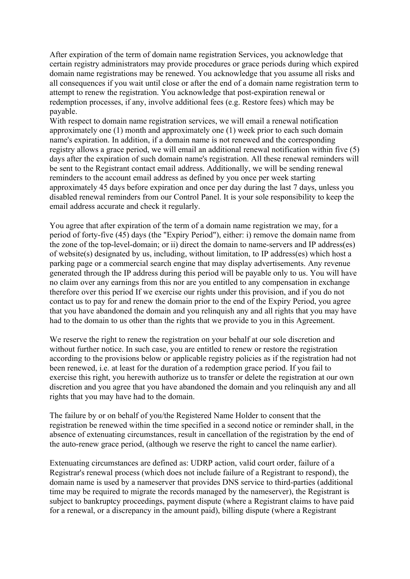After expiration of the term of domain name registration Services, you acknowledge that certain registry administrators may provide procedures or grace periods during which expired domain name registrations may be renewed. You acknowledge that you assume all risks and all consequences if you wait until close or after the end of a domain name registration term to attempt to renew the registration. You acknowledge that post-expiration renewal or redemption processes, if any, involve additional fees (e.g. Restore fees) which may be payable.

With respect to domain name registration services, we will email a renewal notification approximately one (1) month and approximately one (1) week prior to each such domain name's expiration. In addition, if a domain name is not renewed and the corresponding registry allows a grace period, we will email an additional renewal notification within five (5) days after the expiration of such domain name's registration. All these renewal reminders will be sent to the Registrant contact email address. Additionally, we will be sending renewal reminders to the account email address as defined by you once per week starting approximately 45 days before expiration and once per day during the last 7 days, unless you disabled renewal reminders from our Control Panel. It is your sole responsibility to keep the email address accurate and check it regularly.

You agree that after expiration of the term of a domain name registration we may, for a period of forty-five (45) days (the "Expiry Period"), either: i) remove the domain name from the zone of the top-level-domain; or ii) direct the domain to name-servers and IP address(es) of website(s) designated by us, including, without limitation, to IP address(es) which host a parking page or a commercial search engine that may display advertisements. Any revenue generated through the IP address during this period will be payable only to us. You will have no claim over any earnings from this nor are you entitled to any compensation in exchange therefore over this period If we exercise our rights under this provision, and if you do not contact us to pay for and renew the domain prior to the end of the Expiry Period, you agree that you have abandoned the domain and you relinquish any and all rights that you may have had to the domain to us other than the rights that we provide to you in this Agreement.

We reserve the right to renew the registration on your behalf at our sole discretion and without further notice. In such case, you are entitled to renew or restore the registration according to the provisions below or applicable registry policies as if the registration had not been renewed, i.e. at least for the duration of a redemption grace period. If you fail to exercise this right, you herewith authorize us to transfer or delete the registration at our own discretion and you agree that you have abandoned the domain and you relinquish any and all rights that you may have had to the domain.

The failure by or on behalf of you/the Registered Name Holder to consent that the registration be renewed within the time specified in a second notice or reminder shall, in the absence of extenuating circumstances, result in cancellation of the registration by the end of the auto-renew grace period, (although we reserve the right to cancel the name earlier).

Extenuating circumstances are defined as: UDRP action, valid court order, failure of a Registrar's renewal process (which does not include failure of a Registrant to respond), the domain name is used by a nameserver that provides DNS service to third-parties (additional time may be required to migrate the records managed by the nameserver), the Registrant is subject to bankruptcy proceedings, payment dispute (where a Registrant claims to have paid for a renewal, or a discrepancy in the amount paid), billing dispute (where a Registrant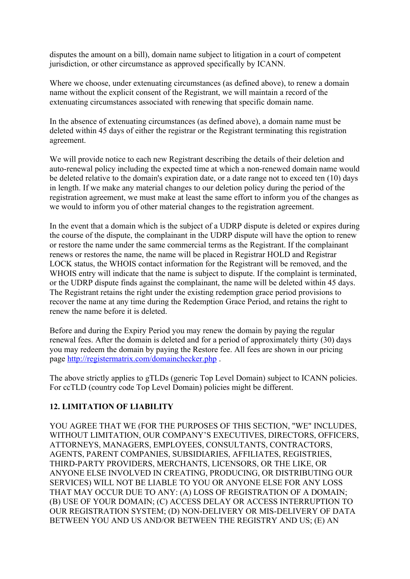disputes the amount on a bill), domain name subject to litigation in a court of competent jurisdiction, or other circumstance as approved specifically by ICANN.

Where we choose, under extenuating circumstances (as defined above), to renew a domain name without the explicit consent of the Registrant, we will maintain a record of the extenuating circumstances associated with renewing that specific domain name.

In the absence of extenuating circumstances (as defined above), a domain name must be deleted within 45 days of either the registrar or the Registrant terminating this registration agreement.

We will provide notice to each new Registrant describing the details of their deletion and auto-renewal policy including the expected time at which a non-renewed domain name would be deleted relative to the domain's expiration date, or a date range not to exceed ten (10) days in length. If we make any material changes to our deletion policy during the period of the registration agreement, we must make at least the same effort to inform you of the changes as we would to inform you of other material changes to the registration agreement.

In the event that a domain which is the subject of a UDRP dispute is deleted or expires during the course of the dispute, the complainant in the UDRP dispute will have the option to renew or restore the name under the same commercial terms as the Registrant. If the complainant renews or restores the name, the name will be placed in Registrar HOLD and Registrar LOCK status, the WHOIS contact information for the Registrant will be removed, and the WHOIS entry will indicate that the name is subject to dispute. If the complaint is terminated, or the UDRP dispute finds against the complainant, the name will be deleted within 45 days. The Registrant retains the right under the existing redemption grace period provisions to recover the name at any time during the Redemption Grace Period, and retains the right to renew the name before it is deleted.

Before and during the Expiry Period you may renew the domain by paying the regular renewal fees. After the domain is deleted and for a period of approximately thirty (30) days you may redeem the domain by paying the Restore fee. All fees are shown in our pricing page <http://registermatrix.com/domainchecker.php> .

The above strictly applies to gTLDs (generic Top Level Domain) subject to ICANN policies. For ccTLD (country code Top Level Domain) policies might be different.

#### **12. LIMITATION OF LIABILITY**

YOU AGREE THAT WE (FOR THE PURPOSES OF THIS SECTION, "WE" INCLUDES, WITHOUT LIMITATION, OUR COMPANY'S EXECUTIVES, DIRECTORS, OFFICERS, ATTORNEYS, MANAGERS, EMPLOYEES, CONSULTANTS, CONTRACTORS, AGENTS, PARENT COMPANIES, SUBSIDIARIES, AFFILIATES, REGISTRIES, THIRD-PARTY PROVIDERS, MERCHANTS, LICENSORS, OR THE LIKE, OR ANYONE ELSE INVOLVED IN CREATING, PRODUCING, OR DISTRIBUTING OUR SERVICES) WILL NOT BE LIABLE TO YOU OR ANYONE ELSE FOR ANY LOSS THAT MAY OCCUR DUE TO ANY: (A) LOSS OF REGISTRATION OF A DOMAIN; (B) USE OF YOUR DOMAIN; (C) ACCESS DELAY OR ACCESS INTERRUPTION TO OUR REGISTRATION SYSTEM; (D) NON-DELIVERY OR MIS-DELIVERY OF DATA BETWEEN YOU AND US AND/OR BETWEEN THE REGISTRY AND US; (E) AN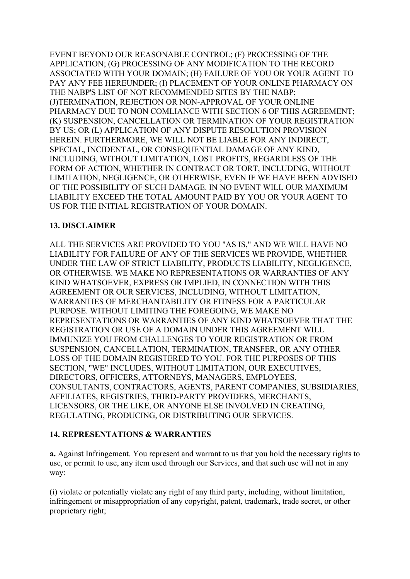EVENT BEYOND OUR REASONABLE CONTROL; (F) PROCESSING OF THE APPLICATION; (G) PROCESSING OF ANY MODIFICATION TO THE RECORD ASSOCIATED WITH YOUR DOMAIN; (H) FAILURE OF YOU OR YOUR AGENT TO PAY ANY FEE HEREUNDER; (I) PLACEMENT OF YOUR ONLINE PHARMACY ON THE NABP'S LIST OF NOT RECOMMENDED SITES BY THE NABP; (J)TERMINATION, REJECTION OR NON-APPROVAL OF YOUR ONLINE PHARMACY DUE TO NON COMLIANCE WITH SECTION 6 OF THIS AGREEMENT; (K) SUSPENSION, CANCELLATION OR TERMINATION OF YOUR REGISTRATION BY US; OR (L) APPLICATION OF ANY DISPUTE RESOLUTION PROVISION HEREIN. FURTHERMORE, WE WILL NOT BE LIABLE FOR ANY INDIRECT, SPECIAL, INCIDENTAL, OR CONSEQUENTIAL DAMAGE OF ANY KIND, INCLUDING, WITHOUT LIMITATION, LOST PROFITS, REGARDLESS OF THE FORM OF ACTION, WHETHER IN CONTRACT OR TORT, INCLUDING, WITHOUT LIMITATION, NEGLIGENCE, OR OTHERWISE, EVEN IF WE HAVE BEEN ADVISED OF THE POSSIBILITY OF SUCH DAMAGE. IN NO EVENT WILL OUR MAXIMUM LIABILITY EXCEED THE TOTAL AMOUNT PAID BY YOU OR YOUR AGENT TO US FOR THE INITIAL REGISTRATION OF YOUR DOMAIN.

#### **13. DISCLAIMER**

ALL THE SERVICES ARE PROVIDED TO YOU "AS IS," AND WE WILL HAVE NO LIABILITY FOR FAILURE OF ANY OF THE SERVICES WE PROVIDE, WHETHER UNDER THE LAW OF STRICT LIABILITY, PRODUCTS LIABILITY, NEGLIGENCE, OR OTHERWISE. WE MAKE NO REPRESENTATIONS OR WARRANTIES OF ANY KIND WHATSOEVER, EXPRESS OR IMPLIED, IN CONNECTION WITH THIS AGREEMENT OR OUR SERVICES, INCLUDING, WITHOUT LIMITATION, WARRANTIES OF MERCHANTABILITY OR FITNESS FOR A PARTICULAR PURPOSE. WITHOUT LIMITING THE FOREGOING, WE MAKE NO REPRESENTATIONS OR WARRANTIES OF ANY KIND WHATSOEVER THAT THE REGISTRATION OR USE OF A DOMAIN UNDER THIS AGREEMENT WILL IMMUNIZE YOU FROM CHALLENGES TO YOUR REGISTRATION OR FROM SUSPENSION, CANCELLATION, TERMINATION, TRANSFER, OR ANY OTHER LOSS OF THE DOMAIN REGISTERED TO YOU. FOR THE PURPOSES OF THIS SECTION, "WE" INCLUDES, WITHOUT LIMITATION, OUR EXECUTIVES, DIRECTORS, OFFICERS, ATTORNEYS, MANAGERS, EMPLOYEES, CONSULTANTS, CONTRACTORS, AGENTS, PARENT COMPANIES, SUBSIDIARIES, AFFILIATES, REGISTRIES, THIRD-PARTY PROVIDERS, MERCHANTS, LICENSORS, OR THE LIKE, OR ANYONE ELSE INVOLVED IN CREATING, REGULATING, PRODUCING, OR DISTRIBUTING OUR SERVICES.

#### **14. REPRESENTATIONS & WARRANTIES**

**a.** Against Infringement. You represent and warrant to us that you hold the necessary rights to use, or permit to use, any item used through our Services, and that such use will not in any way:

(i) violate or potentially violate any right of any third party, including, without limitation, infringement or misappropriation of any copyright, patent, trademark, trade secret, or other proprietary right;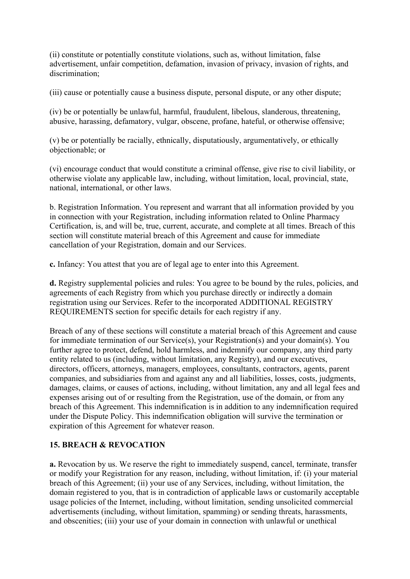(ii) constitute or potentially constitute violations, such as, without limitation, false advertisement, unfair competition, defamation, invasion of privacy, invasion of rights, and discrimination;

(iii) cause or potentially cause a business dispute, personal dispute, or any other dispute;

(iv) be or potentially be unlawful, harmful, fraudulent, libelous, slanderous, threatening, abusive, harassing, defamatory, vulgar, obscene, profane, hateful, or otherwise offensive;

(v) be or potentially be racially, ethnically, disputatiously, argumentatively, or ethically objectionable; or

(vi) encourage conduct that would constitute a criminal offense, give rise to civil liability, or otherwise violate any applicable law, including, without limitation, local, provincial, state, national, international, or other laws.

b. Registration Information. You represent and warrant that all information provided by you in connection with your Registration, including information related to Online Pharmacy Certification, is, and will be, true, current, accurate, and complete at all times. Breach of this section will constitute material breach of this Agreement and cause for immediate cancellation of your Registration, domain and our Services.

**c.** Infancy: You attest that you are of legal age to enter into this Agreement.

**d.** Registry supplemental policies and rules: You agree to be bound by the rules, policies, and agreements of each Registry from which you purchase directly or indirectly a domain registration using our Services. Refer to the incorporated ADDITIONAL REGISTRY REQUIREMENTS section for specific details for each registry if any.

Breach of any of these sections will constitute a material breach of this Agreement and cause for immediate termination of our Service(s), your Registration(s) and your domain(s). You further agree to protect, defend, hold harmless, and indemnify our company, any third party entity related to us (including, without limitation, any Registry), and our executives, directors, officers, attorneys, managers, employees, consultants, contractors, agents, parent companies, and subsidiaries from and against any and all liabilities, losses, costs, judgments, damages, claims, or causes of actions, including, without limitation, any and all legal fees and expenses arising out of or resulting from the Registration, use of the domain, or from any breach of this Agreement. This indemnification is in addition to any indemnification required under the Dispute Policy. This indemnification obligation will survive the termination or expiration of this Agreement for whatever reason.

#### **15. BREACH & REVOCATION**

**a.** Revocation by us. We reserve the right to immediately suspend, cancel, terminate, transfer or modify your Registration for any reason, including, without limitation, if: (i) your material breach of this Agreement; (ii) your use of any Services, including, without limitation, the domain registered to you, that is in contradiction of applicable laws or customarily acceptable usage policies of the Internet, including, without limitation, sending unsolicited commercial advertisements (including, without limitation, spamming) or sending threats, harassments, and obscenities; (iii) your use of your domain in connection with unlawful or unethical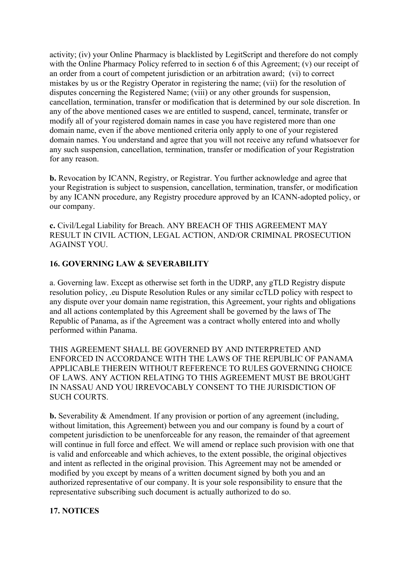activity; (iv) your Online Pharmacy is blacklisted by LegitScript and therefore do not comply with the Online Pharmacy Policy referred to in section 6 of this Agreement; (v) our receipt of an order from a court of competent jurisdiction or an arbitration award; (vi) to correct mistakes by us or the Registry Operator in registering the name; (vii) for the resolution of disputes concerning the Registered Name; (viii) or any other grounds for suspension, cancellation, termination, transfer or modification that is determined by our sole discretion. In any of the above mentioned cases we are entitled to suspend, cancel, terminate, transfer or modify all of your registered domain names in case you have registered more than one domain name, even if the above mentioned criteria only apply to one of your registered domain names. You understand and agree that you will not receive any refund whatsoever for any such suspension, cancellation, termination, transfer or modification of your Registration for any reason.

**b.** Revocation by ICANN, Registry, or Registrar. You further acknowledge and agree that your Registration is subject to suspension, cancellation, termination, transfer, or modification by any ICANN procedure, any Registry procedure approved by an ICANN-adopted policy, or our company.

**c.** Civil/Legal Liability for Breach. ANY BREACH OF THIS AGREEMENT MAY RESULT IN CIVIL ACTION, LEGAL ACTION, AND/OR CRIMINAL PROSECUTION AGAINST YOU.

#### **16. GOVERNING LAW & SEVERABILITY**

a. Governing law. Except as otherwise set forth in the UDRP, any gTLD Registry dispute resolution policy, .eu Dispute Resolution Rules or any similar ccTLD policy with respect to any dispute over your domain name registration, this Agreement, your rights and obligations and all actions contemplated by this Agreement shall be governed by the laws of The Republic of Panama, as if the Agreement was a contract wholly entered into and wholly performed within Panama.

THIS AGREEMENT SHALL BE GOVERNED BY AND INTERPRETED AND ENFORCED IN ACCORDANCE WITH THE LAWS OF THE REPUBLIC OF PANAMA APPLICABLE THEREIN WITHOUT REFERENCE TO RULES GOVERNING CHOICE OF LAWS. ANY ACTION RELATING TO THIS AGREEMENT MUST BE BROUGHT IN NASSAU AND YOU IRREVOCABLY CONSENT TO THE JURISDICTION OF SUCH COURTS.

**b.** Severability & Amendment. If any provision or portion of any agreement (including, without limitation, this Agreement) between you and our company is found by a court of competent jurisdiction to be unenforceable for any reason, the remainder of that agreement will continue in full force and effect. We will amend or replace such provision with one that is valid and enforceable and which achieves, to the extent possible, the original objectives and intent as reflected in the original provision. This Agreement may not be amended or modified by you except by means of a written document signed by both you and an authorized representative of our company. It is your sole responsibility to ensure that the representative subscribing such document is actually authorized to do so.

#### **17. NOTICES**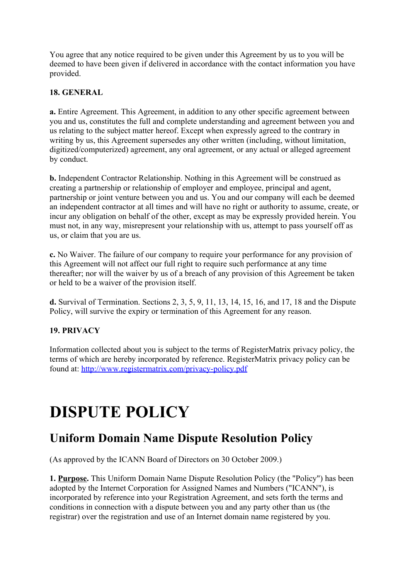You agree that any notice required to be given under this Agreement by us to you will be deemed to have been given if delivered in accordance with the contact information you have provided.

## **18. GENERAL**

**a.** Entire Agreement. This Agreement, in addition to any other specific agreement between you and us, constitutes the full and complete understanding and agreement between you and us relating to the subject matter hereof. Except when expressly agreed to the contrary in writing by us, this Agreement supersedes any other written (including, without limitation, digitized/computerized) agreement, any oral agreement, or any actual or alleged agreement by conduct.

**b.** Independent Contractor Relationship. Nothing in this Agreement will be construed as creating a partnership or relationship of employer and employee, principal and agent, partnership or joint venture between you and us. You and our company will each be deemed an independent contractor at all times and will have no right or authority to assume, create, or incur any obligation on behalf of the other, except as may be expressly provided herein. You must not, in any way, misrepresent your relationship with us, attempt to pass yourself off as us, or claim that you are us.

**c.** No Waiver. The failure of our company to require your performance for any provision of this Agreement will not affect our full right to require such performance at any time thereafter; nor will the waiver by us of a breach of any provision of this Agreement be taken or held to be a waiver of the provision itself.

**d.** Survival of Termination. Sections 2, 3, 5, 9, 11, 13, 14, 15, 16, and 17, 18 and the Dispute Policy, will survive the expiry or termination of this Agreement for any reason.

# **19. PRIVACY**

Information collected about you is subject to the terms of RegisterMatrix privacy policy, the terms of which are hereby incorporated by reference. RegisterMatrix privacy policy can be found at:<http://www.registermatrix.com/privacy-policy.pdf>

# **DISPUTE POLICY**

# **Uniform Domain Name Dispute Resolution Policy**

(As approved by the ICANN Board of Directors on 30 October 2009.)

**1. Purpose.** This Uniform Domain Name Dispute Resolution Policy (the "Policy") has been adopted by the Internet Corporation for Assigned Names and Numbers ("ICANN"), is incorporated by reference into your Registration Agreement, and sets forth the terms and conditions in connection with a dispute between you and any party other than us (the registrar) over the registration and use of an Internet domain name registered by you.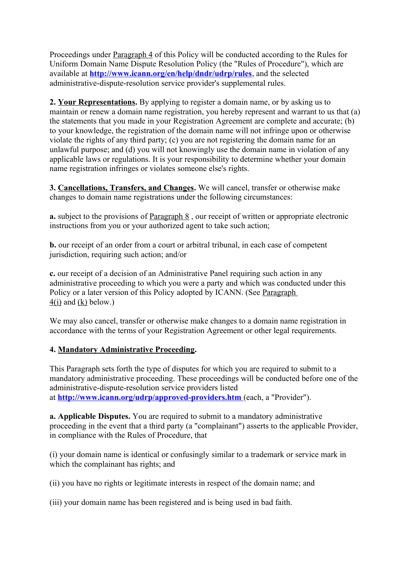Proceedings under Paragraph 4 of this Policy will be conducted according to the Rules for Uniform Domain Name Dispute Resolution Policy (the "Rules of Procedure"), which are available at **<http://www.icann.org/en/help/dndr/udrp/rules>**, and the selected administrative-dispute-resolution service provider's supplemental rules.

**2. Your Representations.** By applying to register a domain name, or by asking us to maintain or renew a domain name registration, you hereby represent and warrant to us that (a) the statements that you made in your Registration Agreement are complete and accurate; (b) to your knowledge, the registration of the domain name will not infringe upon or otherwise violate the rights of any third party; (c) you are not registering the domain name for an unlawful purpose; and (d) you will not knowingly use the domain name in violation of any applicable laws or regulations. It is your responsibility to determine whether your domain name registration infringes or violates someone else's rights.

**3. Cancellations, Transfers, and Changes.** We will cancel, transfer or otherwise make changes to domain name registrations under the following circumstances:

**a.** subject to the provisions of **Paragraph 8**, our receipt of written or appropriate electronic instructions from you or your authorized agent to take such action;

**b.** our receipt of an order from a court or arbitral tribunal, in each case of competent jurisdiction, requiring such action; and/or

**c.** our receipt of a decision of an Administrative Panel requiring such action in any administrative proceeding to which you were a party and which was conducted under this Policy or a later version of this Policy adopted by ICANN. (See Paragraph  $4(i)$  and  $(k)$  below.)

We may also cancel, transfer or otherwise make changes to a domain name registration in accordance with the terms of your Registration Agreement or other legal requirements.

#### **4. Mandatory Administrative Proceeding.**

This Paragraph sets forth the type of disputes for which you are required to submit to a mandatory administrative proceeding. These proceedings will be conducted before one of the administrative-dispute-resolution service providers listed at **[http://www.icann.org/udrp/approved-providers.htm](https://internetbs.net/de/Domainregistrierung/www.icann.org/udrp/approved-providers.htm)** (each, a "Provider").

**a. Applicable Disputes.** You are required to submit to a mandatory administrative proceeding in the event that a third party (a "complainant") asserts to the applicable Provider, in compliance with the Rules of Procedure, that

(i) your domain name is identical or confusingly similar to a trademark or service mark in which the complainant has rights; and

(ii) you have no rights or legitimate interests in respect of the domain name; and

(iii) your domain name has been registered and is being used in bad faith.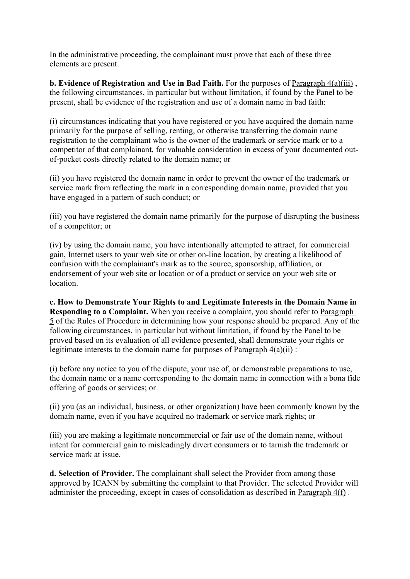In the administrative proceeding, the complainant must prove that each of these three elements are present.

**b. Evidence of Registration and Use in Bad Faith.** For the purposes of <u>Paragraph 4(a)(iii)</u>, the following circumstances, in particular but without limitation, if found by the Panel to be present, shall be evidence of the registration and use of a domain name in bad faith:

(i) circumstances indicating that you have registered or you have acquired the domain name primarily for the purpose of selling, renting, or otherwise transferring the domain name registration to the complainant who is the owner of the trademark or service mark or to a competitor of that complainant, for valuable consideration in excess of your documented outof-pocket costs directly related to the domain name; or

(ii) you have registered the domain name in order to prevent the owner of the trademark or service mark from reflecting the mark in a corresponding domain name, provided that you have engaged in a pattern of such conduct; or

(iii) you have registered the domain name primarily for the purpose of disrupting the business of a competitor; or

(iv) by using the domain name, you have intentionally attempted to attract, for commercial gain, Internet users to your web site or other on-line location, by creating a likelihood of confusion with the complainant's mark as to the source, sponsorship, affiliation, or endorsement of your web site or location or of a product or service on your web site or location.

**c. How to Demonstrate Your Rights to and Legitimate Interests in the Domain Name in Responding to a Complaint.** When you receive a complaint, you should refer to **Paragraph** 5 of the Rules of Procedure in determining how your response should be prepared. Any of the following circumstances, in particular but without limitation, if found by the Panel to be proved based on its evaluation of all evidence presented, shall demonstrate your rights or legitimate interests to the domain name for purposes of Paragraph  $4(a)(ii)$ :

(i) before any notice to you of the dispute, your use of, or demonstrable preparations to use, the domain name or a name corresponding to the domain name in connection with a bona fide offering of goods or services; or

(ii) you (as an individual, business, or other organization) have been commonly known by the domain name, even if you have acquired no trademark or service mark rights; or

(iii) you are making a legitimate noncommercial or fair use of the domain name, without intent for commercial gain to misleadingly divert consumers or to tarnish the trademark or service mark at issue.

**d. Selection of Provider.** The complainant shall select the Provider from among those approved by ICANN by submitting the complaint to that Provider. The selected Provider will administer the proceeding, except in cases of consolidation as described in Paragraph 4(f) .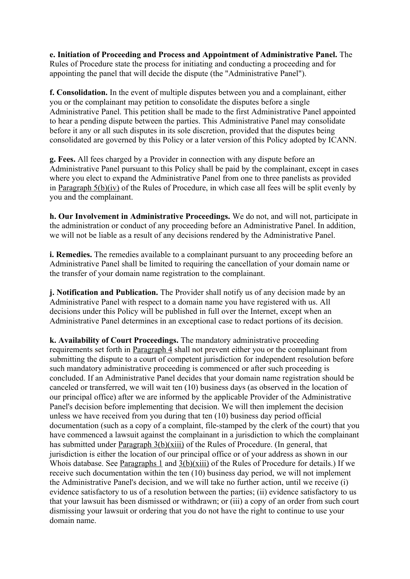**e. Initiation of Proceeding and Process and Appointment of Administrative Panel.** The Rules of Procedure state the process for initiating and conducting a proceeding and for appointing the panel that will decide the dispute (the "Administrative Panel").

**f. Consolidation.** In the event of multiple disputes between you and a complainant, either you or the complainant may petition to consolidate the disputes before a single Administrative Panel. This petition shall be made to the first Administrative Panel appointed to hear a pending dispute between the parties. This Administrative Panel may consolidate before it any or all such disputes in its sole discretion, provided that the disputes being consolidated are governed by this Policy or a later version of this Policy adopted by ICANN.

**g. Fees.** All fees charged by a Provider in connection with any dispute before an Administrative Panel pursuant to this Policy shall be paid by the complainant, except in cases where you elect to expand the Administrative Panel from one to three panelists as provided in Paragraph  $5(b)(iv)$  of the Rules of Procedure, in which case all fees will be split evenly by you and the complainant.

**h. Our Involvement in Administrative Proceedings.** We do not, and will not, participate in the administration or conduct of any proceeding before an Administrative Panel. In addition, we will not be liable as a result of any decisions rendered by the Administrative Panel.

**i. Remedies.** The remedies available to a complainant pursuant to any proceeding before an Administrative Panel shall be limited to requiring the cancellation of your domain name or the transfer of your domain name registration to the complainant.

**j. Notification and Publication.** The Provider shall notify us of any decision made by an Administrative Panel with respect to a domain name you have registered with us. All decisions under this Policy will be published in full over the Internet, except when an Administrative Panel determines in an exceptional case to redact portions of its decision.

**k. Availability of Court Proceedings.** The mandatory administrative proceeding requirements set forth in Paragraph 4 shall not prevent either you or the complainant from submitting the dispute to a court of competent jurisdiction for independent resolution before such mandatory administrative proceeding is commenced or after such proceeding is concluded. If an Administrative Panel decides that your domain name registration should be canceled or transferred, we will wait ten (10) business days (as observed in the location of our principal office) after we are informed by the applicable Provider of the Administrative Panel's decision before implementing that decision. We will then implement the decision unless we have received from you during that ten (10) business day period official documentation (such as a copy of a complaint, file-stamped by the clerk of the court) that you have commenced a lawsuit against the complainant in a jurisdiction to which the complainant has submitted under Paragraph 3(b)(xiii) of the Rules of Procedure. (In general, that jurisdiction is either the location of our principal office or of your address as shown in our Whois database. See Paragraphs 1 and 3(b)(xiii) of the Rules of Procedure for details.) If we receive such documentation within the ten (10) business day period, we will not implement the Administrative Panel's decision, and we will take no further action, until we receive (i) evidence satisfactory to us of a resolution between the parties; (ii) evidence satisfactory to us that your lawsuit has been dismissed or withdrawn; or (iii) a copy of an order from such court dismissing your lawsuit or ordering that you do not have the right to continue to use your domain name.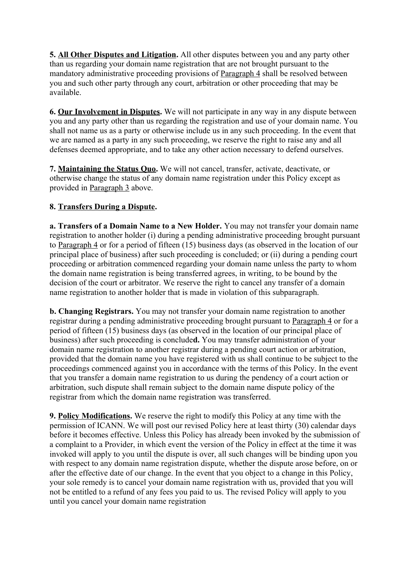**5. All Other Disputes and Litigation.** All other disputes between you and any party other than us regarding your domain name registration that are not brought pursuant to the mandatory administrative proceeding provisions of Paragraph 4 shall be resolved between you and such other party through any court, arbitration or other proceeding that may be available.

**6. Our Involvement in Disputes.** We will not participate in any way in any dispute between you and any party other than us regarding the registration and use of your domain name. You shall not name us as a party or otherwise include us in any such proceeding. In the event that we are named as a party in any such proceeding, we reserve the right to raise any and all defenses deemed appropriate, and to take any other action necessary to defend ourselves.

**7. Maintaining the Status Quo.** We will not cancel, transfer, activate, deactivate, or otherwise change the status of any domain name registration under this Policy except as provided in Paragraph 3 above.

# **8. Transfers During a Dispute.**

**a. Transfers of a Domain Name to a New Holder.** You may not transfer your domain name registration to another holder (i) during a pending administrative proceeding brought pursuant to Paragraph 4 or for a period of fifteen (15) business days (as observed in the location of our principal place of business) after such proceeding is concluded; or (ii) during a pending court proceeding or arbitration commenced regarding your domain name unless the party to whom the domain name registration is being transferred agrees, in writing, to be bound by the decision of the court or arbitrator. We reserve the right to cancel any transfer of a domain name registration to another holder that is made in violation of this subparagraph.

**b. Changing Registrars.** You may not transfer your domain name registration to another registrar during a pending administrative proceeding brought pursuant to Paragraph 4 or for a period of fifteen (15) business days (as observed in the location of our principal place of business) after such proceeding is conclude**d.** You may transfer administration of your domain name registration to another registrar during a pending court action or arbitration, provided that the domain name you have registered with us shall continue to be subject to the proceedings commenced against you in accordance with the terms of this Policy. In the event that you transfer a domain name registration to us during the pendency of a court action or arbitration, such dispute shall remain subject to the domain name dispute policy of the registrar from which the domain name registration was transferred.

**9. Policy Modifications.** We reserve the right to modify this Policy at any time with the permission of ICANN. We will post our revised Policy here at least thirty (30) calendar days before it becomes effective. Unless this Policy has already been invoked by the submission of a complaint to a Provider, in which event the version of the Policy in effect at the time it was invoked will apply to you until the dispute is over, all such changes will be binding upon you with respect to any domain name registration dispute, whether the dispute arose before, on or after the effective date of our change. In the event that you object to a change in this Policy, your sole remedy is to cancel your domain name registration with us, provided that you will not be entitled to a refund of any fees you paid to us. The revised Policy will apply to you until you cancel your domain name registration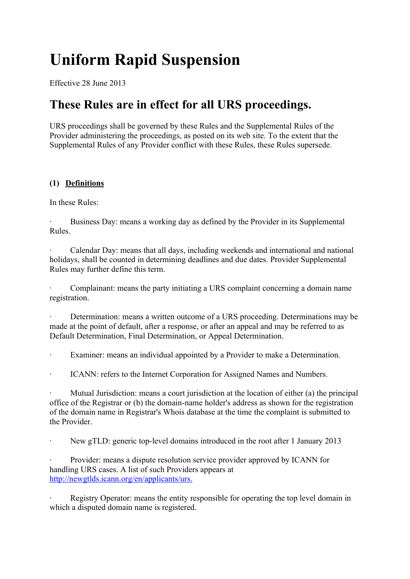# **Uniform Rapid Suspension**

Effective 28 June 2013

# **These Rules are in effect for all URS proceedings.**

URS proceedings shall be governed by these Rules and the Supplemental Rules of the Provider administering the proceedings, as posted on its web site. To the extent that the Supplemental Rules of any Provider conflict with these Rules, these Rules supersede.

# **(1) Definitions**

In these Rules:

Business Day: means a working day as defined by the Provider in its Supplemental Rules.

Calendar Day: means that all days, including weekends and international and national holidays, shall be counted in determining deadlines and due dates. Provider Supplemental Rules may further define this term.

· Complainant: means the party initiating a URS complaint concerning a domain name registration.

Determination: means a written outcome of a URS proceeding. Determinations may be made at the point of default, after a response, or after an appeal and may be referred to as Default Determination, Final Determination, or Appeal Determination.

· Examiner: means an individual appointed by a Provider to make a Determination.

· ICANN: refers to the Internet Corporation for Assigned Names and Numbers.

· Mutual Jurisdiction: means a court jurisdiction at the location of either (a) the principal office of the Registrar or (b) the domain-name holder's address as shown for the registration of the domain name in Registrar's Whois database at the time the complaint is submitted to the Provider.

New gTLD: generic top-level domains introduced in the root after 1 January 2013

Provider: means a dispute resolution service provider approved by ICANN for handling URS cases. A list of such Providers appears at [http://newgtlds.icann.org/en/applicants/urs.](http://newgtlds.icann.org/en/applicants/urs)

Registry Operator: means the entity responsible for operating the top level domain in which a disputed domain name is registered.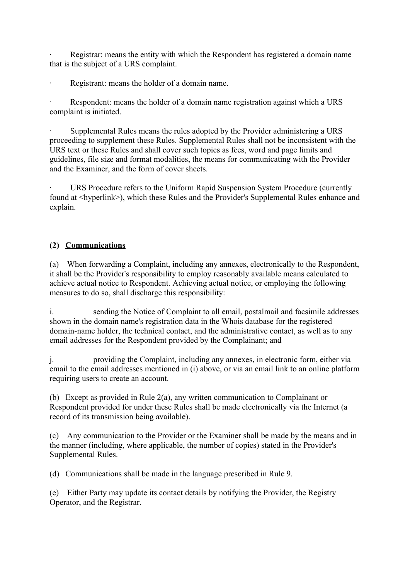Registrar: means the entity with which the Respondent has registered a domain name that is the subject of a URS complaint.

Registrant: means the holder of a domain name.

Respondent: means the holder of a domain name registration against which a URS complaint is initiated.

Supplemental Rules means the rules adopted by the Provider administering a URS proceeding to supplement these Rules. Supplemental Rules shall not be inconsistent with the URS text or these Rules and shall cover such topics as fees, word and page limits and guidelines, file size and format modalities, the means for communicating with the Provider and the Examiner, and the form of cover sheets.

URS Procedure refers to the Uniform Rapid Suspension System Procedure (currently found at <hyperlink>), which these Rules and the Provider's Supplemental Rules enhance and explain.

# **(2) Communications**

(a) When forwarding a Complaint, including any annexes, electronically to the Respondent, it shall be the Provider's responsibility to employ reasonably available means calculated to achieve actual notice to Respondent. Achieving actual notice, or employing the following measures to do so, shall discharge this responsibility:

i. sending the Notice of Complaint to all email, postalmail and facsimile addresses shown in the domain name's registration data in the Whois database for the registered domain-name holder, the technical contact, and the administrative contact, as well as to any email addresses for the Respondent provided by the Complainant; and

j. providing the Complaint, including any annexes, in electronic form, either via email to the email addresses mentioned in (i) above, or via an email link to an online platform requiring users to create an account.

(b) Except as provided in Rule 2(a), any written communication to Complainant or Respondent provided for under these Rules shall be made electronically via the Internet (a record of its transmission being available).

(c) Any communication to the Provider or the Examiner shall be made by the means and in the manner (including, where applicable, the number of copies) stated in the Provider's Supplemental Rules.

(d) Communications shall be made in the language prescribed in Rule 9.

(e) Either Party may update its contact details by notifying the Provider, the Registry Operator, and the Registrar.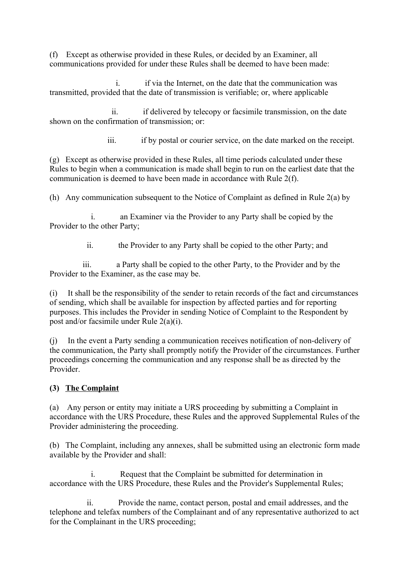(f) Except as otherwise provided in these Rules, or decided by an Examiner, all communications provided for under these Rules shall be deemed to have been made:

 i. if via the Internet, on the date that the communication was transmitted, provided that the date of transmission is verifiable; or, where applicable

ii. if delivered by telecopy or facsimile transmission, on the date shown on the confirmation of transmission; or:

iii. if by postal or courier service, on the date marked on the receipt.

(g) Except as otherwise provided in these Rules, all time periods calculated under these Rules to begin when a communication is made shall begin to run on the earliest date that the communication is deemed to have been made in accordance with Rule 2(f).

(h) Any communication subsequent to the Notice of Complaint as defined in Rule 2(a) by

 i. an Examiner via the Provider to any Party shall be copied by the Provider to the other Party;

ii. the Provider to any Party shall be copied to the other Party; and

 iii. a Party shall be copied to the other Party, to the Provider and by the Provider to the Examiner, as the case may be.

(i) It shall be the responsibility of the sender to retain records of the fact and circumstances of sending, which shall be available for inspection by affected parties and for reporting purposes. This includes the Provider in sending Notice of Complaint to the Respondent by post and/or facsimile under Rule 2(a)(i).

(j) In the event a Party sending a communication receives notification of non-delivery of the communication, the Party shall promptly notify the Provider of the circumstances. Further proceedings concerning the communication and any response shall be as directed by the Provider.

# **(3) The Complaint**

(a) Any person or entity may initiate a URS proceeding by submitting a Complaint in accordance with the URS Procedure, these Rules and the approved Supplemental Rules of the Provider administering the proceeding.

(b) The Complaint, including any annexes, shall be submitted using an electronic form made available by the Provider and shall:

Request that the Complaint be submitted for determination in accordance with the URS Procedure, these Rules and the Provider's Supplemental Rules;

 ii. Provide the name, contact person, postal and email addresses, and the telephone and telefax numbers of the Complainant and of any representative authorized to act for the Complainant in the URS proceeding;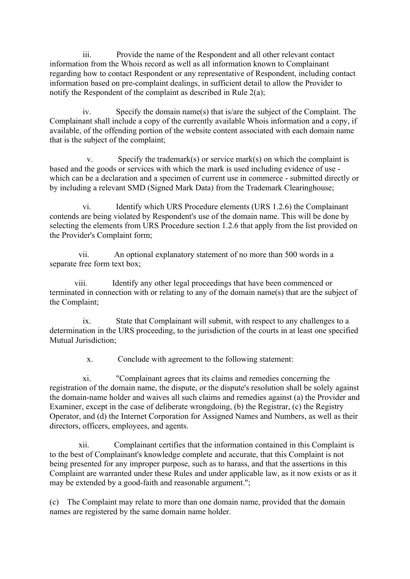iii. Provide the name of the Respondent and all other relevant contact information from the Whois record as well as all information known to Complainant regarding how to contact Respondent or any representative of Respondent, including contact information based on pre-complaint dealings, in sufficient detail to allow the Provider to notify the Respondent of the complaint as described in Rule 2(a);

 iv. Specify the domain name(s) that is/are the subject of the Complaint. The Complainant shall include a copy of the currently available Whois information and a copy, if available, of the offending portion of the website content associated with each domain name that is the subject of the complaint;

v. Specify the trademark(s) or service mark(s) on which the complaint is based and the goods or services with which the mark is used including evidence of use which can be a declaration and a specimen of current use in commerce - submitted directly or by including a relevant SMD (Signed Mark Data) from the Trademark Clearinghouse;

 vi. Identify which URS Procedure elements (URS 1.2.6) the Complainant contends are being violated by Respondent's use of the domain name. This will be done by selecting the elements from URS Procedure section 1.2.6 that apply from the list provided on the Provider's Complaint form;

 vii. An optional explanatory statement of no more than 500 words in a separate free form text box;

 viii. Identify any other legal proceedings that have been commenced or terminated in connection with or relating to any of the domain name(s) that are the subject of the Complaint;

 ix. State that Complainant will submit, with respect to any challenges to a determination in the URS proceeding, to the jurisdiction of the courts in at least one specified Mutual Jurisdiction;

x. Conclude with agreement to the following statement:

 xi. "Complainant agrees that its claims and remedies concerning the registration of the domain name, the dispute, or the dispute's resolution shall be solely against the domain-name holder and waives all such claims and remedies against (a) the Provider and Examiner, except in the case of deliberate wrongdoing, (b) the Registrar, (c) the Registry Operator, and (d) the Internet Corporation for Assigned Names and Numbers, as well as their directors, officers, employees, and agents.

 xii. Complainant certifies that the information contained in this Complaint is to the best of Complainant's knowledge complete and accurate, that this Complaint is not being presented for any improper purpose, such as to harass, and that the assertions in this Complaint are warranted under these Rules and under applicable law, as it now exists or as it may be extended by a good-faith and reasonable argument.";

(c) The Complaint may relate to more than one domain name, provided that the domain names are registered by the same domain name holder.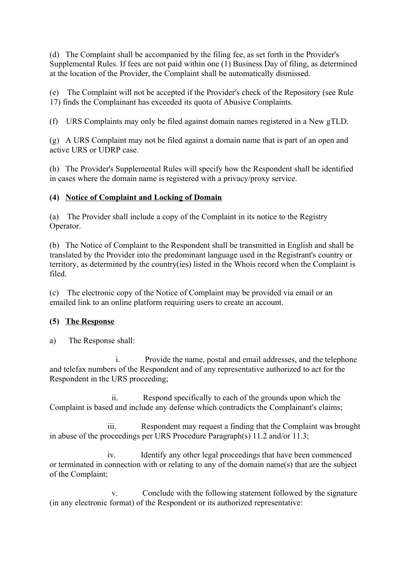(d) The Complaint shall be accompanied by the filing fee, as set forth in the Provider's Supplemental Rules. If fees are not paid within one (1) Business Day of filing, as determined at the location of the Provider, the Complaint shall be automatically dismissed.

(e) The Complaint will not be accepted if the Provider's check of the Repository (see Rule 17) finds the Complainant has exceeded its quota of Abusive Complaints.

(f) URS Complaints may only be filed against domain names registered in a New gTLD.

(g) A URS Complaint may not be filed against a domain name that is part of an open and active URS or UDRP case.

(h) The Provider's Supplemental Rules will specify how the Respondent shall be identified in cases where the domain name is registered with a privacy/proxy service.

#### **(4) Notice of Complaint and Locking of Domain**

(a) The Provider shall include a copy of the Complaint in its notice to the Registry Operator.

(b) The Notice of Complaint to the Respondent shall be transmitted in English and shall be translated by the Provider into the predominant language used in the Registrant's country or territory, as determined by the country(ies) listed in the Whois record when the Complaint is filed.

(c) The electronic copy of the Notice of Complaint may be provided via email or an emailed link to an online platform requiring users to create an account.

# **(5) The Response**

a) The Response shall:

 i. Provide the name, postal and email addresses, and the telephone and telefax numbers of the Respondent and of any representative authorized to act for the Respondent in the URS proceeding;

 ii. Respond specifically to each of the grounds upon which the Complaint is based and include any defense which contradicts the Complainant's claims;

 iii. Respondent may request a finding that the Complaint was brought in abuse of the proceedings per URS Procedure Paragraph(s) 11.2 and/or 11.3;

 iv. Identify any other legal proceedings that have been commenced or terminated in connection with or relating to any of the domain name(s) that are the subject of the Complaint;

 v. Conclude with the following statement followed by the signature (in any electronic format) of the Respondent or its authorized representative: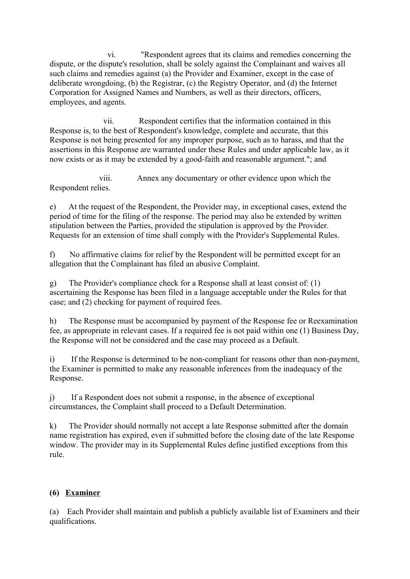vi. "Respondent agrees that its claims and remedies concerning the dispute, or the dispute's resolution, shall be solely against the Complainant and waives all such claims and remedies against (a) the Provider and Examiner, except in the case of deliberate wrongdoing, (b) the Registrar, (c) the Registry Operator, and (d) the Internet Corporation for Assigned Names and Numbers, as well as their directors, officers, employees, and agents.

 vii. Respondent certifies that the information contained in this Response is, to the best of Respondent's knowledge, complete and accurate, that this Response is not being presented for any improper purpose, such as to harass, and that the assertions in this Response are warranted under these Rules and under applicable law, as it now exists or as it may be extended by a good-faith and reasonable argument."; and

 viii. Annex any documentary or other evidence upon which the Respondent relies.

e) At the request of the Respondent, the Provider may, in exceptional cases, extend the period of time for the filing of the response. The period may also be extended by written stipulation between the Parties, provided the stipulation is approved by the Provider. Requests for an extension of time shall comply with the Provider's Supplemental Rules.

f) No affirmative claims for relief by the Respondent will be permitted except for an allegation that the Complainant has filed an abusive Complaint.

g) The Provider's compliance check for a Response shall at least consist of: (1) ascertaining the Response has been filed in a language acceptable under the Rules for that case; and (2) checking for payment of required fees.

h) The Response must be accompanied by payment of the Response fee or Reexamination fee, as appropriate in relevant cases. If a required fee is not paid within one (1) Business Day, the Response will not be considered and the case may proceed as a Default.

i) If the Response is determined to be non-compliant for reasons other than non-payment, the Examiner is permitted to make any reasonable inferences from the inadequacy of the Response.

j) If a Respondent does not submit a response, in the absence of exceptional circumstances, the Complaint shall proceed to a Default Determination.

k) The Provider should normally not accept a late Response submitted after the domain name registration has expired, even if submitted before the closing date of the late Response window. The provider may in its Supplemental Rules define justified exceptions from this rule.

#### **(6) Examiner**

(a) Each Provider shall maintain and publish a publicly available list of Examiners and their qualifications.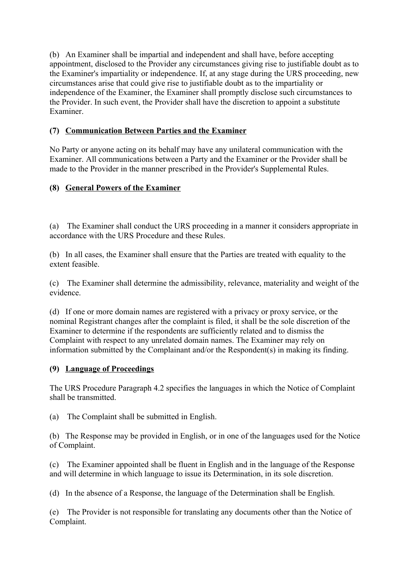(b) An Examiner shall be impartial and independent and shall have, before accepting appointment, disclosed to the Provider any circumstances giving rise to justifiable doubt as to the Examiner's impartiality or independence. If, at any stage during the URS proceeding, new circumstances arise that could give rise to justifiable doubt as to the impartiality or independence of the Examiner, the Examiner shall promptly disclose such circumstances to the Provider. In such event, the Provider shall have the discretion to appoint a substitute Examiner.

# **(7) Communication Between Parties and the Examiner**

No Party or anyone acting on its behalf may have any unilateral communication with the Examiner. All communications between a Party and the Examiner or the Provider shall be made to the Provider in the manner prescribed in the Provider's Supplemental Rules.

## **(8) General Powers of the Examiner**

(a) The Examiner shall conduct the URS proceeding in a manner it considers appropriate in accordance with the URS Procedure and these Rules.

(b) In all cases, the Examiner shall ensure that the Parties are treated with equality to the extent feasible.

(c) The Examiner shall determine the admissibility, relevance, materiality and weight of the evidence.

(d) If one or more domain names are registered with a privacy or proxy service, or the nominal Registrant changes after the complaint is filed, it shall be the sole discretion of the Examiner to determine if the respondents are sufficiently related and to dismiss the Complaint with respect to any unrelated domain names. The Examiner may rely on information submitted by the Complainant and/or the Respondent(s) in making its finding.

#### **(9) Language of Proceedings**

The URS Procedure Paragraph 4.2 specifies the languages in which the Notice of Complaint shall be transmitted.

(a) The Complaint shall be submitted in English.

(b) The Response may be provided in English, or in one of the languages used for the Notice of Complaint.

(c) The Examiner appointed shall be fluent in English and in the language of the Response and will determine in which language to issue its Determination, in its sole discretion.

(d) In the absence of a Response, the language of the Determination shall be English.

(e) The Provider is not responsible for translating any documents other than the Notice of Complaint.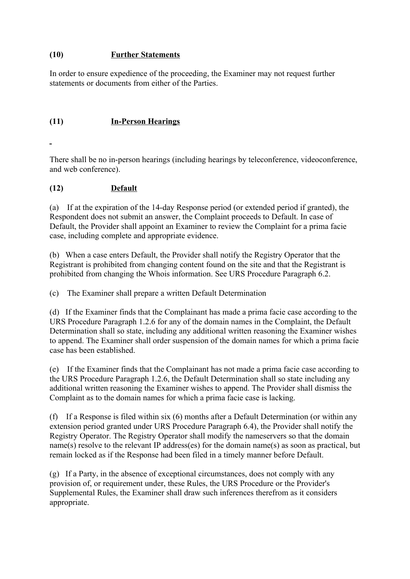## **(10) Further Statements**

In order to ensure expedience of the proceeding, the Examiner may not request further statements or documents from either of the Parties.

# **(11) In-Person Hearings**

There shall be no in-person hearings (including hearings by teleconference, videoconference, and web conference).

#### **(12) Default**

(a) If at the expiration of the 14-day Response period (or extended period if granted), the Respondent does not submit an answer, the Complaint proceeds to Default. In case of Default, the Provider shall appoint an Examiner to review the Complaint for a prima facie case, including complete and appropriate evidence.

(b) When a case enters Default, the Provider shall notify the Registry Operator that the Registrant is prohibited from changing content found on the site and that the Registrant is prohibited from changing the Whois information. See URS Procedure Paragraph 6.2.

(c) The Examiner shall prepare a written Default Determination

(d) If the Examiner finds that the Complainant has made a prima facie case according to the URS Procedure Paragraph 1.2.6 for any of the domain names in the Complaint, the Default Determination shall so state, including any additional written reasoning the Examiner wishes to append. The Examiner shall order suspension of the domain names for which a prima facie case has been established.

(e) If the Examiner finds that the Complainant has not made a prima facie case according to the URS Procedure Paragraph 1.2.6, the Default Determination shall so state including any additional written reasoning the Examiner wishes to append. The Provider shall dismiss the Complaint as to the domain names for which a prima facie case is lacking.

(f) If a Response is filed within six (6) months after a Default Determination (or within any extension period granted under URS Procedure Paragraph 6.4), the Provider shall notify the Registry Operator. The Registry Operator shall modify the nameservers so that the domain name(s) resolve to the relevant IP address(es) for the domain name(s) as soon as practical, but remain locked as if the Response had been filed in a timely manner before Default.

(g) If a Party, in the absence of exceptional circumstances, does not comply with any provision of, or requirement under, these Rules, the URS Procedure or the Provider's Supplemental Rules, the Examiner shall draw such inferences therefrom as it considers appropriate.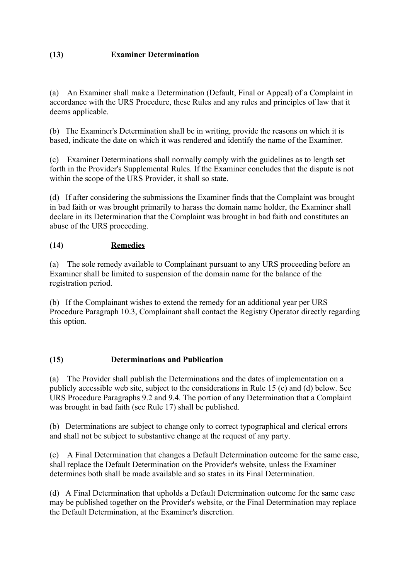# **(13) Examiner Determination**

(a) An Examiner shall make a Determination (Default, Final or Appeal) of a Complaint in accordance with the URS Procedure, these Rules and any rules and principles of law that it deems applicable.

(b) The Examiner's Determination shall be in writing, provide the reasons on which it is based, indicate the date on which it was rendered and identify the name of the Examiner.

(c) Examiner Determinations shall normally comply with the guidelines as to length set forth in the Provider's Supplemental Rules. If the Examiner concludes that the dispute is not within the scope of the URS Provider, it shall so state.

(d) If after considering the submissions the Examiner finds that the Complaint was brought in bad faith or was brought primarily to harass the domain name holder, the Examiner shall declare in its Determination that the Complaint was brought in bad faith and constitutes an abuse of the URS proceeding.

## **(14) Remedies**

(a) The sole remedy available to Complainant pursuant to any URS proceeding before an Examiner shall be limited to suspension of the domain name for the balance of the registration period.

(b) If the Complainant wishes to extend the remedy for an additional year per URS Procedure Paragraph 10.3, Complainant shall contact the Registry Operator directly regarding this option.

# **(15) Determinations and Publication**

(a) The Provider shall publish the Determinations and the dates of implementation on a publicly accessible web site, subject to the considerations in Rule 15 (c) and (d) below. See URS Procedure Paragraphs 9.2 and 9.4. The portion of any Determination that a Complaint was brought in bad faith (see Rule 17) shall be published.

(b) Determinations are subject to change only to correct typographical and clerical errors and shall not be subject to substantive change at the request of any party.

(c) A Final Determination that changes a Default Determination outcome for the same case, shall replace the Default Determination on the Provider's website, unless the Examiner determines both shall be made available and so states in its Final Determination.

(d) A Final Determination that upholds a Default Determination outcome for the same case may be published together on the Provider's website, or the Final Determination may replace the Default Determination, at the Examiner's discretion.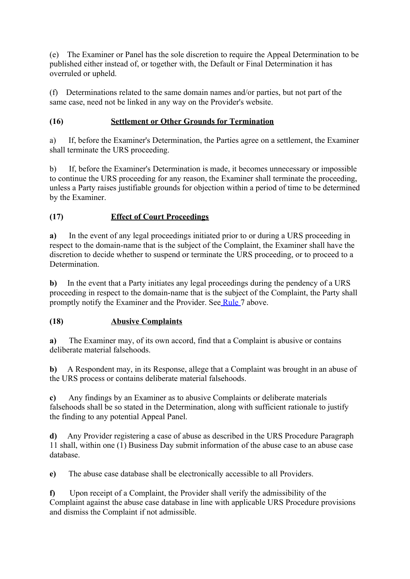(e) The Examiner or Panel has the sole discretion to require the Appeal Determination to be published either instead of, or together with, the Default or Final Determination it has overruled or upheld.

(f) Determinations related to the same domain names and/or parties, but not part of the same case, need not be linked in any way on the Provider's website.

# **(16) Settlement or Other Grounds for Termination**

a) If, before the Examiner's Determination, the Parties agree on a settlement, the Examiner shall terminate the URS proceeding.

b) If, before the Examiner's Determination is made, it becomes unnecessary or impossible to continue the URS proceeding for any reason, the Examiner shall terminate the proceeding, unless a Party raises justifiable grounds for objection within a period of time to be determined by the Examiner.

# **(17) Effect of Court Proceedings**

**a)** In the event of any legal proceedings initiated prior to or during a URS proceeding in respect to the domain-name that is the subject of the Complaint, the Examiner shall have the discretion to decide whether to suspend or terminate the URS proceeding, or to proceed to a **Determination** 

**b)** In the event that a Party initiates any legal proceedings during the pendency of a URS proceeding in respect to the domain-name that is the subject of the Complaint, the Party shall promptly notify the Examiner and the Provider. See [Rule](http://www.icann.org/en/udrp/udrp-rules-24oct99.htm%238) 7 above.

# **(18) Abusive Complaints**

**a)** The Examiner may, of its own accord, find that a Complaint is abusive or contains deliberate material falsehoods.

**b)** A Respondent may, in its Response, allege that a Complaint was brought in an abuse of the URS process or contains deliberate material falsehoods.

**c)** Any findings by an Examiner as to abusive Complaints or deliberate materials falsehoods shall be so stated in the Determination, along with sufficient rationale to justify the finding to any potential Appeal Panel.

**d)** Any Provider registering a case of abuse as described in the URS Procedure Paragraph 11 shall, within one (1) Business Day submit information of the abuse case to an abuse case database.

**e)** The abuse case database shall be electronically accessible to all Providers.

**f)** Upon receipt of a Complaint, the Provider shall verify the admissibility of the Complaint against the abuse case database in line with applicable URS Procedure provisions and dismiss the Complaint if not admissible.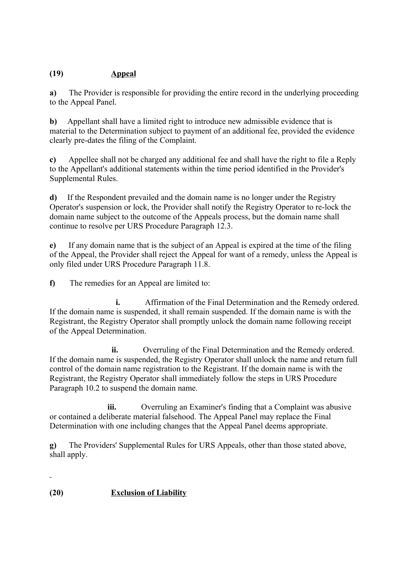## **(19) Appeal**

**a)** The Provider is responsible for providing the entire record in the underlying proceeding to the Appeal Panel.

**b)** Appellant shall have a limited right to introduce new admissible evidence that is material to the Determination subject to payment of an additional fee, provided the evidence clearly pre-dates the filing of the Complaint.

**c)** Appellee shall not be charged any additional fee and shall have the right to file a Reply to the Appellant's additional statements within the time period identified in the Provider's Supplemental Rules.

**d)** If the Respondent prevailed and the domain name is no longer under the Registry Operator's suspension or lock, the Provider shall notify the Registry Operator to re-lock the domain name subject to the outcome of the Appeals process, but the domain name shall continue to resolve per URS Procedure Paragraph 12.3.

**e)** If any domain name that is the subject of an Appeal is expired at the time of the filing of the Appeal, the Provider shall reject the Appeal for want of a remedy, unless the Appeal is only filed under URS Procedure Paragraph 11.8.

**f)** The remedies for an Appeal are limited to:

**i.** Affirmation of the Final Determination and the Remedy ordered. If the domain name is suspended, it shall remain suspended. If the domain name is with the Registrant, the Registry Operator shall promptly unlock the domain name following receipt of the Appeal Determination.

**ii.** Overruling of the Final Determination and the Remedy ordered. If the domain name is suspended, the Registry Operator shall unlock the name and return full control of the domain name registration to the Registrant. If the domain name is with the Registrant, the Registry Operator shall immediately follow the steps in URS Procedure Paragraph 10.2 to suspend the domain name.

**iii.** Overruling an Examiner's finding that a Complaint was abusive or contained a deliberate material falsehood. The Appeal Panel may replace the Final Determination with one including changes that the Appeal Panel deems appropriate.

**g)** The Providers' Supplemental Rules for URS Appeals, other than those stated above, shall apply.

**(20) Exclusion of Liability**

 $\overline{a}$